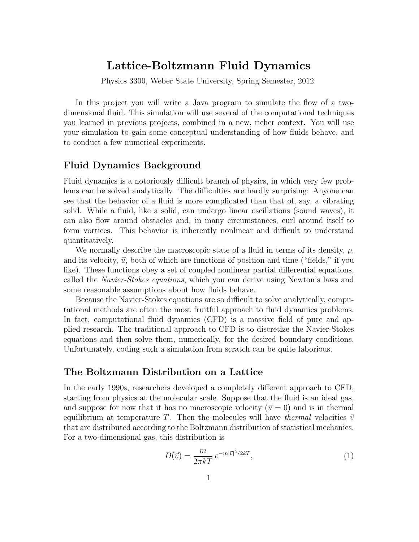# Lattice-Boltzmann Fluid Dynamics

Physics 3300, Weber State University, Spring Semester, 2012

In this project you will write a Java program to simulate the flow of a twodimensional fluid. This simulation will use several of the computational techniques you learned in previous projects, combined in a new, richer context. You will use your simulation to gain some conceptual understanding of how fluids behave, and to conduct a few numerical experiments.

# Fluid Dynamics Background

Fluid dynamics is a notoriously difficult branch of physics, in which very few problems can be solved analytically. The difficulties are hardly surprising: Anyone can see that the behavior of a fluid is more complicated than that of, say, a vibrating solid. While a fluid, like a solid, can undergo linear oscillations (sound waves), it can also flow around obstacles and, in many circumstances, curl around itself to form vortices. This behavior is inherently nonlinear and difficult to understand quantitatively.

We normally describe the macroscopic state of a fluid in terms of its density,  $\rho$ , and its velocity,  $\vec{u}$ , both of which are functions of position and time ("fields," if you like). These functions obey a set of coupled nonlinear partial differential equations, called the Navier-Stokes equations, which you can derive using Newton's laws and some reasonable assumptions about how fluids behave.

Because the Navier-Stokes equations are so difficult to solve analytically, computational methods are often the most fruitful approach to fluid dynamics problems. In fact, computational fluid dynamics (CFD) is a massive field of pure and applied research. The traditional approach to CFD is to discretize the Navier-Stokes equations and then solve them, numerically, for the desired boundary conditions. Unfortunately, coding such a simulation from scratch can be quite laborious.

# The Boltzmann Distribution on a Lattice

In the early 1990s, researchers developed a completely different approach to CFD, starting from physics at the molecular scale. Suppose that the fluid is an ideal gas, and suppose for now that it has no macroscopic velocity  $(\vec{u} = 0)$  and is in thermal equilibrium at temperature T. Then the molecules will have thermal velocities  $\vec{v}$ that are distributed according to the Boltzmann distribution of statistical mechanics. For a two-dimensional gas, this distribution is

$$
D(\vec{v}) = \frac{m}{2\pi kT} e^{-m|\vec{v}|^2/2kT},\tag{1}
$$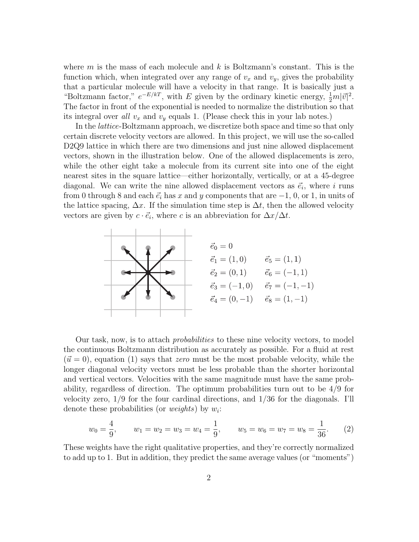where  $m$  is the mass of each molecule and  $k$  is Boltzmann's constant. This is the function which, when integrated over any range of  $v_x$  and  $v_y$ , gives the probability that a particular molecule will have a velocity in that range. It is basically just a "Boltzmann factor,"  $e^{-E/kT}$ , with E given by the ordinary kinetic energy,  $\frac{1}{2}m|\vec{v}|^2$ . The factor in front of the exponential is needed to normalize the distribution so that its integral over all  $v_x$  and  $v_y$  equals 1. (Please check this in your lab notes.)

In the *lattice*-Boltzmann approach, we discretize both space and time so that only certain discrete velocity vectors are allowed. In this project, we will use the so-called D<sub>2</sub>Q<sub>9</sub> lattice in which there are two dimensions and just nine allowed displacement vectors, shown in the illustration below. One of the allowed displacements is zero, while the other eight take a molecule from its current site into one of the eight nearest sites in the square lattice—either horizontally, vertically, or at a 45-degree diagonal. We can write the nine allowed displacement vectors as  $\vec{e}_i$ , where i runs from 0 through 8 and each  $\vec{e}_i$  has x and y components that are  $-1, 0$ , or 1, in units of the lattice spacing,  $\Delta x$ . If the simulation time step is  $\Delta t$ , then the allowed velocity vectors are given by  $c \cdot \vec{e}_i$ , where c is an abbreviation for  $\Delta x/\Delta t$ .



Our task, now, is to attach probabilities to these nine velocity vectors, to model the continuous Boltzmann distribution as accurately as possible. For a fluid at rest  $(\vec{u} = 0)$ , equation (1) says that zero must be the most probable velocity, while the longer diagonal velocity vectors must be less probable than the shorter horizontal and vertical vectors. Velocities with the same magnitude must have the same probability, regardless of direction. The optimum probabilities turn out to be 4/9 for velocity zero, 1/9 for the four cardinal directions, and 1/36 for the diagonals. I'll denote these probabilities (or *weights*) by  $w_i$ :

$$
w_0 = \frac{4}{9}
$$
,  $w_1 = w_2 = w_3 = w_4 = \frac{1}{9}$ ,  $w_5 = w_6 = w_7 = w_8 = \frac{1}{36}$ . (2)

These weights have the right qualitative properties, and they're correctly normalized to add up to 1. But in addition, they predict the same average values (or "moments")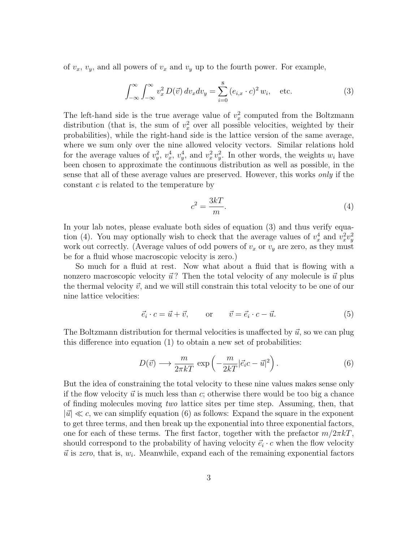of  $v_x$ ,  $v_y$ , and all powers of  $v_x$  and  $v_y$  up to the fourth power. For example,

$$
\int_{-\infty}^{\infty} \int_{-\infty}^{\infty} v_x^2 D(\vec{v}) dv_x dv_y = \sum_{i=0}^{8} (e_{i,x} \cdot c)^2 w_i, \text{ etc.}
$$
 (3)

The left-hand side is the true average value of  $v_x^2$  computed from the Boltzmann distribution (that is, the sum of  $v_x^2$  over all possible velocities, weighted by their probabilities), while the right-hand side is the lattice version of the same average, where we sum only over the nine allowed velocity vectors. Similar relations hold for the average values of  $v_y^2$ ,  $v_x^4$ ,  $v_y^4$ , and  $v_x^2 v_y^2$ . In other words, the weights  $w_i$  have been chosen to approximate the continuous distribution as well as possible, in the sense that all of these average values are preserved. However, this works only if the constant c is related to the temperature by

$$
c^2 = \frac{3kT}{m}.\tag{4}
$$

In your lab notes, please evaluate both sides of equation (3) and thus verify equation (4). You may optionally wish to check that the average values of  $v_x^4$  and  $v_x^2v_y^2$ work out correctly. (Average values of odd powers of  $v_x$  or  $v_y$  are zero, as they must be for a fluid whose macroscopic velocity is zero.)

So much for a fluid at rest. Now what about a fluid that is flowing with a nonzero macroscopic velocity  $\vec{u}$ ? Then the total velocity of any molecule is  $\vec{u}$  plus the thermal velocity  $\vec{v}$ , and we will still constrain this total velocity to be one of our nine lattice velocities:

$$
\vec{e}_i \cdot c = \vec{u} + \vec{v}, \qquad \text{or} \qquad \vec{v} = \vec{e}_i \cdot c - \vec{u}. \tag{5}
$$

The Boltzmann distribution for thermal velocities is unaffected by  $\vec{u}$ , so we can plug this difference into equation (1) to obtain a new set of probabilities:

$$
D(\vec{v}) \longrightarrow \frac{m}{2\pi kT} \exp\left(-\frac{m}{2kT}|\vec{e_i}c - \vec{u}|^2\right). \tag{6}
$$

But the idea of constraining the total velocity to these nine values makes sense only if the flow velocity  $\vec{u}$  is much less than c; otherwise there would be too big a chance of finding molecules moving two lattice sites per time step. Assuming, then, that  $|\vec{u}| \ll c$ , we can simplify equation (6) as follows: Expand the square in the exponent to get three terms, and then break up the exponential into three exponential factors, one for each of these terms. The first factor, together with the prefactor  $m/2\pi kT$ , should correspond to the probability of having velocity  $\vec{e}_i \cdot c$  when the flow velocity  $\vec{u}$  is zero, that is,  $w_i$ . Meanwhile, expand each of the remaining exponential factors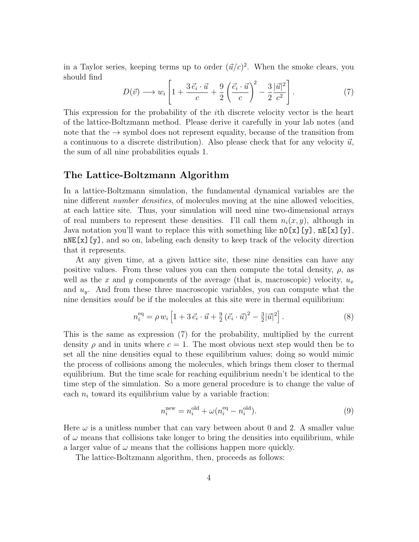in a Taylor series, keeping terms up to order  $(\vec{u}/c)^2$ . When the smoke clears, you should find

$$
D(\vec{v}) \longrightarrow w_i \left[ 1 + \frac{3 \vec{e}_i \cdot \vec{u}}{c} + \frac{9}{2} \left( \frac{\vec{e}_i \cdot \vec{u}}{c} \right)^2 - \frac{3}{2} \frac{|\vec{u}|^2}{c^2} \right]. \tag{7}
$$

This expression for the probability of the ith discrete velocity vector is the heart of the lattice-Boltzmann method. Please derive it carefully in your lab notes (and note that the  $\rightarrow$  symbol does not represent equality, because of the transition from a continuous to a discrete distribution). Also please check that for any velocity  $\vec{u}$ , the sum of all nine probabilities equals 1.

# The Lattice-Boltzmann Algorithm

In a lattice-Boltzmann simulation, the fundamental dynamical variables are the nine different number densities, of molecules moving at the nine allowed velocities, at each lattice site. Thus, your simulation will need nine two-dimensional arrays of real numbers to represent these densities. I'll call them  $n_i(x, y)$ , although in Java notation you'll want to replace this with something like  $n0[x][y]$ ,  $nE[x][y]$ . nNE[x][y], and so on, labeling each density to keep track of the velocity direction that it represents.

At any given time, at a given lattice site, these nine densities can have any positive values. From these values you can then compute the total density,  $\rho$ , as well as the x and y components of the average (that is, macroscopic) velocity,  $u_x$ and  $u_y$ . And from these three macroscopic variables, you can compute what the nine densities would be if the molecules at this site were in thermal equilibrium:

$$
n_i^{\text{eq}} = \rho w_i \left[ 1 + 3 \vec{e}_i \cdot \vec{u} + \frac{9}{2} (\vec{e}_i \cdot \vec{u})^2 - \frac{3}{2} |\vec{u}|^2 \right]. \tag{8}
$$

This is the same as expression (7) for the probability, multiplied by the current density  $\rho$  and in units where  $c = 1$ . The most obvious next step would then be to set all the nine densities equal to these equilibrium values; doing so would mimic the process of collisions among the molecules, which brings them closer to thermal equilibrium. But the time scale for reaching equilibrium needn't be identical to the time step of the simulation. So a more general procedure is to change the value of each  $n_i$  toward its equilibrium value by a variable fraction:

$$
n_i^{\text{new}} = n_i^{\text{old}} + \omega (n_i^{\text{eq}} - n_i^{\text{old}}). \tag{9}
$$

Here  $\omega$  is a unitless number that can vary between about 0 and 2. A smaller value of  $\omega$  means that collisions take longer to bring the densities into equilibrium, while a larger value of  $\omega$  means that the collisions happen more quickly.

The lattice-Boltzmann algorithm, then, proceeds as follows: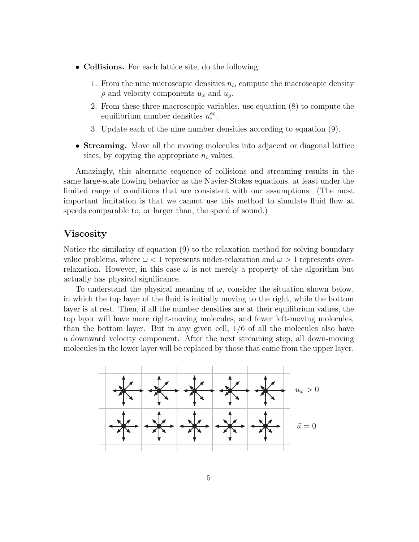- Collisions. For each lattice site, do the following:
	- 1. From the nine microscopic densities  $n_i$ , compute the macroscopic density  $\rho$  and velocity components  $u_x$  and  $u_y$ .
	- 2. From these three macroscopic variables, use equation (8) to compute the equilibrium number densities  $n_i^{\text{eq}}$  $_{i}^{\mathrm{eq}}$  .
	- 3. Update each of the nine number densities according to equation (9).
- Streaming. Move all the moving molecules into adjacent or diagonal lattice sites, by copying the appropriate  $n_i$  values.

Amazingly, this alternate sequence of collisions and streaming results in the same large-scale flowing behavior as the Navier-Stokes equations, at least under the limited range of conditions that are consistent with our assumptions. (The most important limitation is that we cannot use this method to simulate fluid flow at speeds comparable to, or larger than, the speed of sound.)

#### Viscosity

Notice the similarity of equation (9) to the relaxation method for solving boundary value problems, where  $\omega < 1$  represents under-relaxation and  $\omega > 1$  represents overrelaxation. However, in this case  $\omega$  is not merely a property of the algorithm but actually has physical significance.

To understand the physical meaning of  $\omega$ , consider the situation shown below, in which the top layer of the fluid is initially moving to the right, while the bottom layer is at rest. Then, if all the number densities are at their equilibrium values, the top layer will have more right-moving molecules, and fewer left-moving molecules, than the bottom layer. But in any given cell, 1/6 of all the molecules also have a downward velocity component. After the next streaming step, all down-moving molecules in the lower layer will be replaced by those that came from the upper layer.

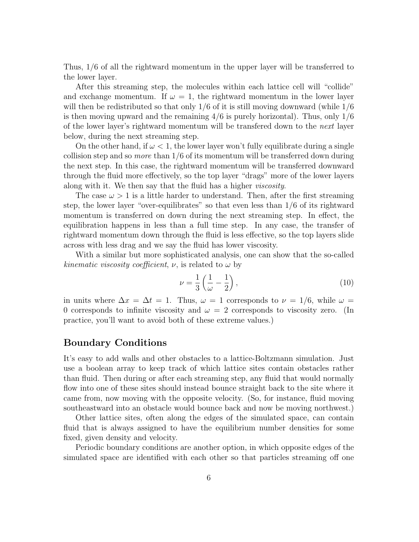Thus, 1/6 of all the rightward momentum in the upper layer will be transferred to the lower layer.

After this streaming step, the molecules within each lattice cell will "collide" and exchange momentum. If  $\omega = 1$ , the rightward momentum in the lower layer will then be redistributed so that only  $1/6$  of it is still moving downward (while  $1/6$ ) is then moving upward and the remaining  $4/6$  is purely horizontal). Thus, only  $1/6$ of the lower layer's rightward momentum will be transfered down to the next layer below, during the next streaming step.

On the other hand, if  $\omega < 1$ , the lower layer won't fully equilibrate during a single collision step and so *more* than  $1/6$  of its momentum will be transferred down during the next step. In this case, the rightward momentum will be transferred downward through the fluid more effectively, so the top layer "drags" more of the lower layers along with it. We then say that the fluid has a higher viscosity.

The case  $\omega > 1$  is a little harder to understand. Then, after the first streaming step, the lower layer "over-equilibrates" so that even less than 1/6 of its rightward momentum is transferred on down during the next streaming step. In effect, the equilibration happens in less than a full time step. In any case, the transfer of rightward momentum down through the fluid is less effective, so the top layers slide across with less drag and we say the fluid has lower viscosity.

With a similar but more sophisticated analysis, one can show that the so-called kinematic viscosity coefficient,  $\nu$ , is related to  $\omega$  by

$$
\nu = \frac{1}{3} \left( \frac{1}{\omega} - \frac{1}{2} \right),\tag{10}
$$

in units where  $\Delta x = \Delta t = 1$ . Thus,  $\omega = 1$  corresponds to  $\nu = 1/6$ , while  $\omega =$ 0 corresponds to infinite viscosity and  $\omega = 2$  corresponds to viscosity zero. (In practice, you'll want to avoid both of these extreme values.)

# Boundary Conditions

It's easy to add walls and other obstacles to a lattice-Boltzmann simulation. Just use a boolean array to keep track of which lattice sites contain obstacles rather than fluid. Then during or after each streaming step, any fluid that would normally flow into one of these sites should instead bounce straight back to the site where it came from, now moving with the opposite velocity. (So, for instance, fluid moving southeastward into an obstacle would bounce back and now be moving northwest.)

Other lattice sites, often along the edges of the simulated space, can contain fluid that is always assigned to have the equilibrium number densities for some fixed, given density and velocity.

Periodic boundary conditions are another option, in which opposite edges of the simulated space are identified with each other so that particles streaming off one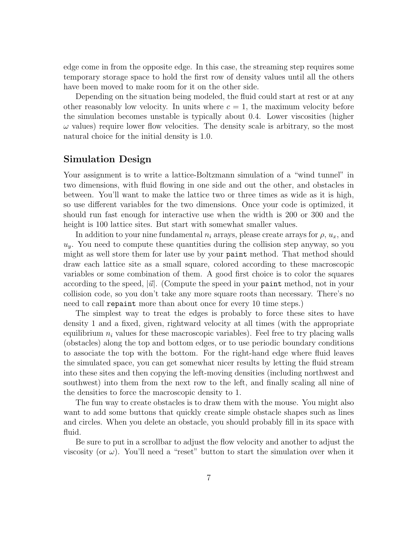edge come in from the opposite edge. In this case, the streaming step requires some temporary storage space to hold the first row of density values until all the others have been moved to make room for it on the other side.

Depending on the situation being modeled, the fluid could start at rest or at any other reasonably low velocity. In units where  $c = 1$ , the maximum velocity before the simulation becomes unstable is typically about 0.4. Lower viscosities (higher  $\omega$  values) require lower flow velocities. The density scale is arbitrary, so the most natural choice for the initial density is 1.0.

# Simulation Design

Your assignment is to write a lattice-Boltzmann simulation of a "wind tunnel" in two dimensions, with fluid flowing in one side and out the other, and obstacles in between. You'll want to make the lattice two or three times as wide as it is high, so use different variables for the two dimensions. Once your code is optimized, it should run fast enough for interactive use when the width is 200 or 300 and the height is 100 lattice sites. But start with somewhat smaller values.

In addition to your nine fundamental  $n_i$  arrays, please create arrays for  $\rho$ ,  $u_x$ , and  $u_y$ . You need to compute these quantities during the collision step anyway, so you might as well store them for later use by your paint method. That method should draw each lattice site as a small square, colored according to these macroscopic variables or some combination of them. A good first choice is to color the squares according to the speed,  $|\vec{u}|$ . (Compute the speed in your paint method, not in your collision code, so you don't take any more square roots than necessary. There's no need to call repaint more than about once for every 10 time steps.)

The simplest way to treat the edges is probably to force these sites to have density 1 and a fixed, given, rightward velocity at all times (with the appropriate equilibrium  $n_i$  values for these macroscopic variables). Feel free to try placing walls (obstacles) along the top and bottom edges, or to use periodic boundary conditions to associate the top with the bottom. For the right-hand edge where fluid leaves the simulated space, you can get somewhat nicer results by letting the fluid stream into these sites and then copying the left-moving densities (including northwest and southwest) into them from the next row to the left, and finally scaling all nine of the densities to force the macroscopic density to 1.

The fun way to create obstacles is to draw them with the mouse. You might also want to add some buttons that quickly create simple obstacle shapes such as lines and circles. When you delete an obstacle, you should probably fill in its space with fluid.

Be sure to put in a scrollbar to adjust the flow velocity and another to adjust the viscosity (or  $\omega$ ). You'll need a "reset" button to start the simulation over when it